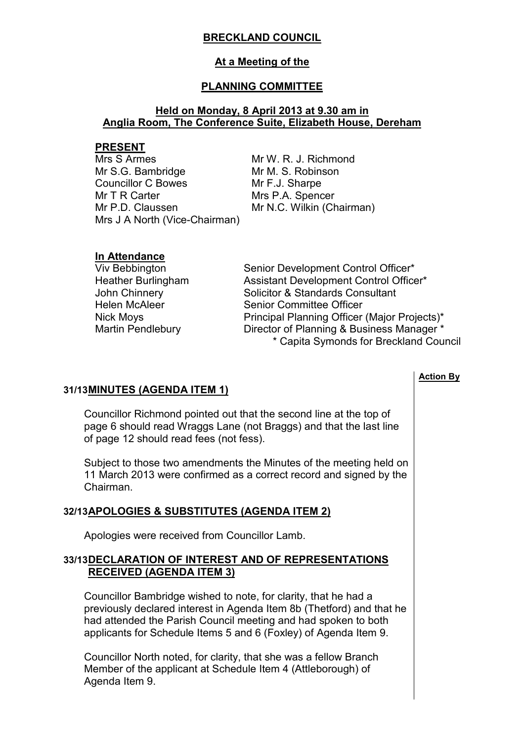# **BRECKLAND COUNCIL**

## **At a Meeting of the**

# **PLANNING COMMITTEE**

# **Held on Monday, 8 April 2013 at 9.30 am in Anglia Room, The Conference Suite, Elizabeth House, Dereham**

### **PRESENT**

Mrs S Armes Mr S.G. Bambridge Councillor C Bowes Mr T R Carter Mr P.D. Claussen Mrs J A North (Vice-Chairman) Mr W. R. J. Richmond Mr M. S. Robinson Mr F.J. Sharpe Mrs P.A. Spencer Mr N.C. Wilkin (Chairman)

### **In Attendance**

Viv Bebbington Senior Development Control Officer\* Heather Burlingham Assistant Development Control Officer\* John Chinnery **Solicitor & Standards Consultant** Helen McAleer Senior Committee Officer Nick Moys **Principal Planning Officer (Major Projects)\*** Martin Pendlebury Director of Planning & Business Manager \* \* Capita Symonds for Breckland Council

# **31/13 MINUTES (AGENDA ITEM 1)**

 Councillor Richmond pointed out that the second line at the top of page 6 should read Wraggs Lane (not Braggs) and that the last line of page 12 should read fees (not fess).

Subject to those two amendments the Minutes of the meeting held on 11 March 2013 were confirmed as a correct record and signed by the Chairman.

# **32/13 APOLOGIES & SUBSTITUTES (AGENDA ITEM 2)**

Apologies were received from Councillor Lamb.

## **33/13 DECLARATION OF INTEREST AND OF REPRESENTATIONS RECEIVED (AGENDA ITEM 3)**

 Councillor Bambridge wished to note, for clarity, that he had a previously declared interest in Agenda Item 8b (Thetford) and that he had attended the Parish Council meeting and had spoken to both applicants for Schedule Items 5 and 6 (Foxley) of Agenda Item 9.

Councillor North noted, for clarity, that she was a fellow Branch Member of the applicant at Schedule Item 4 (Attleborough) of Agenda Item 9.

## **Action By**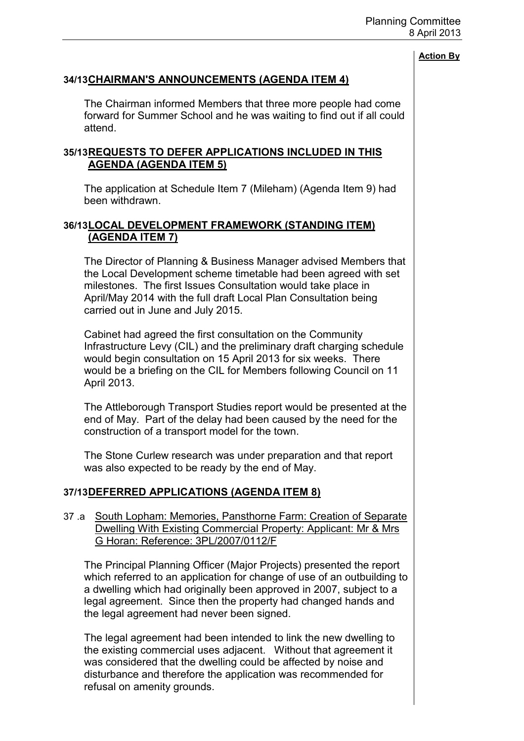# **34/13 CHAIRMAN'S ANNOUNCEMENTS (AGENDA ITEM 4)**

 The Chairman informed Members that three more people had come forward for Summer School and he was waiting to find out if all could attend.

## **35/13 REQUESTS TO DEFER APPLICATIONS INCLUDED IN THIS AGENDA (AGENDA ITEM 5)**

 The application at Schedule Item 7 (Mileham) (Agenda Item 9) had been withdrawn.

## **36/13 LOCAL DEVELOPMENT FRAMEWORK (STANDING ITEM) (AGENDA ITEM 7)**

 The Director of Planning & Business Manager advised Members that the Local Development scheme timetable had been agreed with set milestones. The first Issues Consultation would take place in April/May 2014 with the full draft Local Plan Consultation being carried out in June and July 2015.

Cabinet had agreed the first consultation on the Community Infrastructure Levy (CIL) and the preliminary draft charging schedule would begin consultation on 15 April 2013 for six weeks. There would be a briefing on the CIL for Members following Council on 11 April 2013.

The Attleborough Transport Studies report would be presented at the end of May. Part of the delay had been caused by the need for the construction of a transport model for the town.

The Stone Curlew research was under preparation and that report was also expected to be ready by the end of May.

# **37/13 DEFERRED APPLICATIONS (AGENDA ITEM 8)**

37 .a South Lopham: Memories, Pansthorne Farm: Creation of Separate Dwelling With Existing Commercial Property: Applicant: Mr & Mrs G Horan: Reference: 3PL/2007/0112/F

 The Principal Planning Officer (Major Projects) presented the report which referred to an application for change of use of an outbuilding to a dwelling which had originally been approved in 2007, subject to a legal agreement. Since then the property had changed hands and the legal agreement had never been signed.

The legal agreement had been intended to link the new dwelling to the existing commercial uses adjacent. Without that agreement it was considered that the dwelling could be affected by noise and disturbance and therefore the application was recommended for refusal on amenity grounds.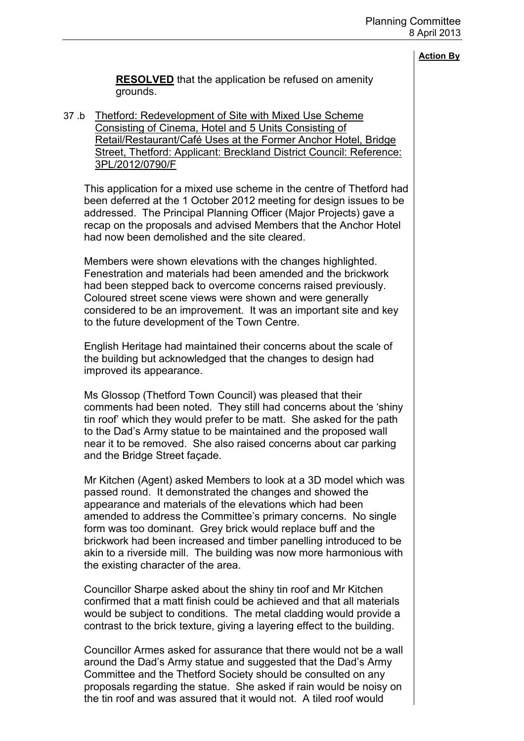| <b>Action B</b> |
|-----------------|
|-----------------|

**RESOLVED** that the application be refused on amenity grounds.

37 .b Thetford: Redevelopment of Site with Mixed Use Scheme Consisting of Cinema, Hotel and 5 Units Consisting of Retail/Restaurant/Café Uses at the Former Anchor Hotel, Bridge Street, Thetford: Applicant: Breckland District Council: Reference: 3PL/2012/0790/F

 This application for a mixed use scheme in the centre of Thetford had been deferred at the 1 October 2012 meeting for design issues to be addressed. The Principal Planning Officer (Major Projects) gave a recap on the proposals and advised Members that the Anchor Hotel had now been demolished and the site cleared.

Members were shown elevations with the changes highlighted. Fenestration and materials had been amended and the brickwork had been stepped back to overcome concerns raised previously. Coloured street scene views were shown and were generally considered to be an improvement. It was an important site and key to the future development of the Town Centre.

English Heritage had maintained their concerns about the scale of the building but acknowledged that the changes to design had improved its appearance.

Ms Glossop (Thetford Town Council) was pleased that their comments had been noted. They still had concerns about the 'shiny tin roof' which they would prefer to be matt. She asked for the path to the Dad's Army statue to be maintained and the proposed wall near it to be removed. She also raised concerns about car parking and the Bridge Street façade.

Mr Kitchen (Agent) asked Members to look at a 3D model which was passed round. It demonstrated the changes and showed the appearance and materials of the elevations which had been amended to address the Committee's primary concerns. No single form was too dominant. Grey brick would replace buff and the brickwork had been increased and timber panelling introduced to be akin to a riverside mill. The building was now more harmonious with the existing character of the area.

Councillor Sharpe asked about the shiny tin roof and Mr Kitchen confirmed that a matt finish could be achieved and that all materials would be subject to conditions. The metal cladding would provide a contrast to the brick texture, giving a layering effect to the building.

Councillor Armes asked for assurance that there would not be a wall around the Dad's Army statue and suggested that the Dad's Army Committee and the Thetford Society should be consulted on any proposals regarding the statue. She asked if rain would be noisy on the tin roof and was assured that it would not. A tiled roof would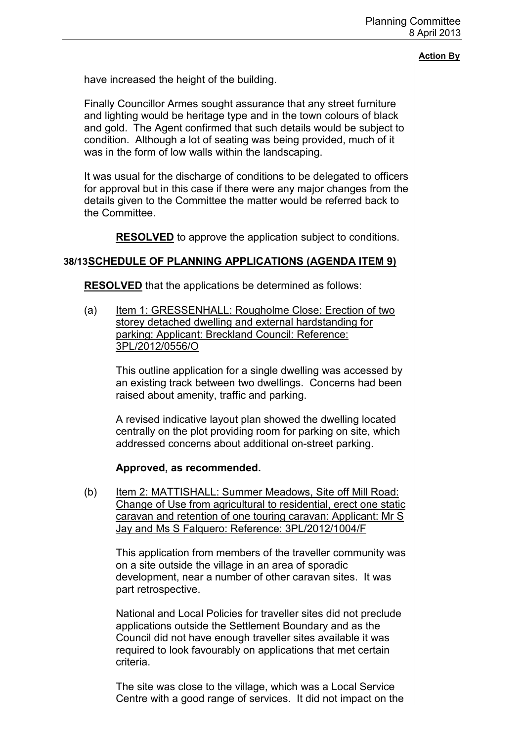have increased the height of the building.

Finally Councillor Armes sought assurance that any street furniture and lighting would be heritage type and in the town colours of black and gold. The Agent confirmed that such details would be subject to condition. Although a lot of seating was being provided, much of it was in the form of low walls within the landscaping.

It was usual for the discharge of conditions to be delegated to officers for approval but in this case if there were any major changes from the details given to the Committee the matter would be referred back to the Committee.

**RESOLVED** to approve the application subject to conditions.

## **38/13 SCHEDULE OF PLANNING APPLICATIONS (AGENDA ITEM 9)**

**RESOLVED** that the applications be determined as follows:

(a) Item 1: GRESSENHALL: Rougholme Close: Erection of two storey detached dwelling and external hardstanding for parking: Applicant: Breckland Council: Reference: 3PL/2012/0556/O

This outline application for a single dwelling was accessed by an existing track between two dwellings. Concerns had been raised about amenity, traffic and parking.

A revised indicative layout plan showed the dwelling located centrally on the plot providing room for parking on site, which addressed concerns about additional on-street parking.

### **Approved, as recommended.**

(b) Item 2: MATTISHALL: Summer Meadows, Site off Mill Road: Change of Use from agricultural to residential, erect one static caravan and retention of one touring caravan: Applicant: Mr S Jay and Ms S Falquero: Reference: 3PL/2012/1004/F

This application from members of the traveller community was on a site outside the village in an area of sporadic development, near a number of other caravan sites. It was part retrospective.

National and Local Policies for traveller sites did not preclude applications outside the Settlement Boundary and as the Council did not have enough traveller sites available it was required to look favourably on applications that met certain criteria.

The site was close to the village, which was a Local Service Centre with a good range of services. It did not impact on the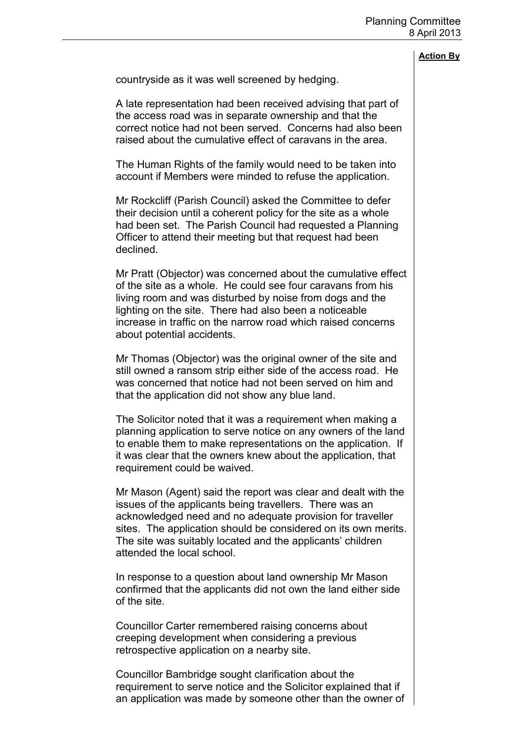# **Action By** countryside as it was well screened by hedging. A late representation had been received advising that part of the access road was in separate ownership and that the correct notice had not been served. Concerns had also been raised about the cumulative effect of caravans in the area. The Human Rights of the family would need to be taken into account if Members were minded to refuse the application. Mr Rockcliff (Parish Council) asked the Committee to defer their decision until a coherent policy for the site as a whole had been set. The Parish Council had requested a Planning Officer to attend their meeting but that request had been declined. Mr Pratt (Objector) was concerned about the cumulative effect of the site as a whole. He could see four caravans from his living room and was disturbed by noise from dogs and the lighting on the site. There had also been a noticeable increase in traffic on the narrow road which raised concerns about potential accidents. Mr Thomas (Objector) was the original owner of the site and still owned a ransom strip either side of the access road. He was concerned that notice had not been served on him and that the application did not show any blue land. The Solicitor noted that it was a requirement when making a planning application to serve notice on any owners of the land to enable them to make representations on the application. If it was clear that the owners knew about the application, that requirement could be waived. Mr Mason (Agent) said the report was clear and dealt with the issues of the applicants being travellers. There was an acknowledged need and no adequate provision for traveller sites. The application should be considered on its own merits. The site was suitably located and the applicants' children attended the local school. In response to a question about land ownership Mr Mason confirmed that the applicants did not own the land either side of the site.

Councillor Carter remembered raising concerns about creeping development when considering a previous retrospective application on a nearby site.

Councillor Bambridge sought clarification about the requirement to serve notice and the Solicitor explained that if an application was made by someone other than the owner of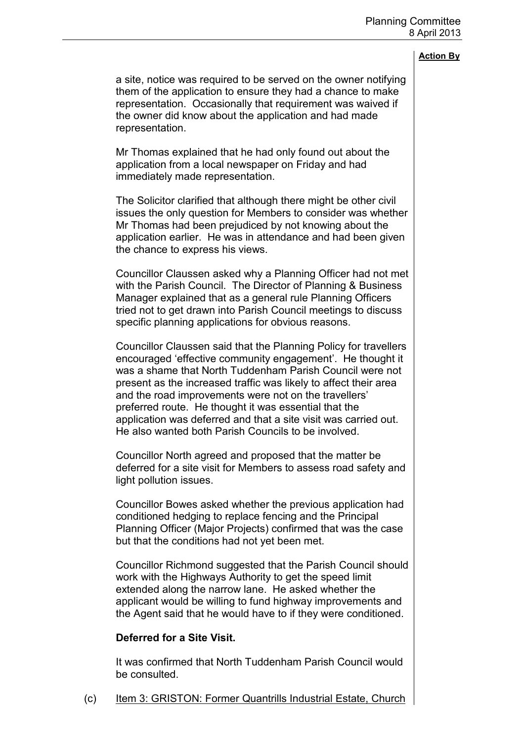a site, notice was required to be served on the owner notifying them of the application to ensure they had a chance to make representation. Occasionally that requirement was waived if the owner did know about the application and had made representation.

Mr Thomas explained that he had only found out about the application from a local newspaper on Friday and had immediately made representation.

The Solicitor clarified that although there might be other civil issues the only question for Members to consider was whether Mr Thomas had been prejudiced by not knowing about the application earlier. He was in attendance and had been given the chance to express his views.

Councillor Claussen asked why a Planning Officer had not met with the Parish Council. The Director of Planning & Business Manager explained that as a general rule Planning Officers tried not to get drawn into Parish Council meetings to discuss specific planning applications for obvious reasons.

Councillor Claussen said that the Planning Policy for travellers encouraged 'effective community engagement'. He thought it was a shame that North Tuddenham Parish Council were not present as the increased traffic was likely to affect their area and the road improvements were not on the travellers' preferred route. He thought it was essential that the application was deferred and that a site visit was carried out. He also wanted both Parish Councils to be involved.

Councillor North agreed and proposed that the matter be deferred for a site visit for Members to assess road safety and light pollution issues.

Councillor Bowes asked whether the previous application had conditioned hedging to replace fencing and the Principal Planning Officer (Major Projects) confirmed that was the case but that the conditions had not yet been met.

Councillor Richmond suggested that the Parish Council should work with the Highways Authority to get the speed limit extended along the narrow lane. He asked whether the applicant would be willing to fund highway improvements and the Agent said that he would have to if they were conditioned.

### **Deferred for a Site Visit.**

It was confirmed that North Tuddenham Parish Council would be consulted.

(c) Item 3: GRISTON: Former Quantrills Industrial Estate, Church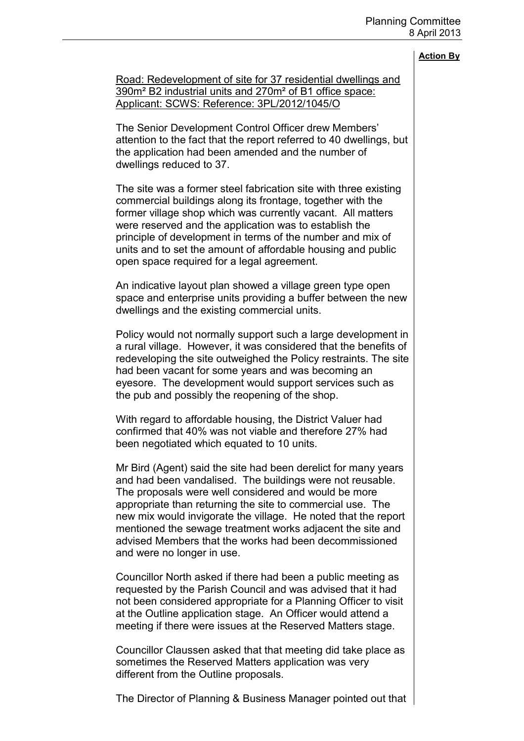Road: Redevelopment of site for 37 residential dwellings and 390m² B2 industrial units and 270m² of B1 office space: Applicant: SCWS: Reference: 3PL/2012/1045/O

The Senior Development Control Officer drew Members' attention to the fact that the report referred to 40 dwellings, but the application had been amended and the number of dwellings reduced to 37.

The site was a former steel fabrication site with three existing commercial buildings along its frontage, together with the former village shop which was currently vacant. All matters were reserved and the application was to establish the principle of development in terms of the number and mix of units and to set the amount of affordable housing and public open space required for a legal agreement.

An indicative layout plan showed a village green type open space and enterprise units providing a buffer between the new dwellings and the existing commercial units.

Policy would not normally support such a large development in a rural village. However, it was considered that the benefits of redeveloping the site outweighed the Policy restraints. The site had been vacant for some years and was becoming an eyesore. The development would support services such as the pub and possibly the reopening of the shop.

With regard to affordable housing, the District Valuer had confirmed that 40% was not viable and therefore 27% had been negotiated which equated to 10 units.

Mr Bird (Agent) said the site had been derelict for many years and had been vandalised. The buildings were not reusable. The proposals were well considered and would be more appropriate than returning the site to commercial use. The new mix would invigorate the village. He noted that the report mentioned the sewage treatment works adjacent the site and advised Members that the works had been decommissioned and were no longer in use.

Councillor North asked if there had been a public meeting as requested by the Parish Council and was advised that it had not been considered appropriate for a Planning Officer to visit at the Outline application stage. An Officer would attend a meeting if there were issues at the Reserved Matters stage.

Councillor Claussen asked that that meeting did take place as sometimes the Reserved Matters application was very different from the Outline proposals.

The Director of Planning & Business Manager pointed out that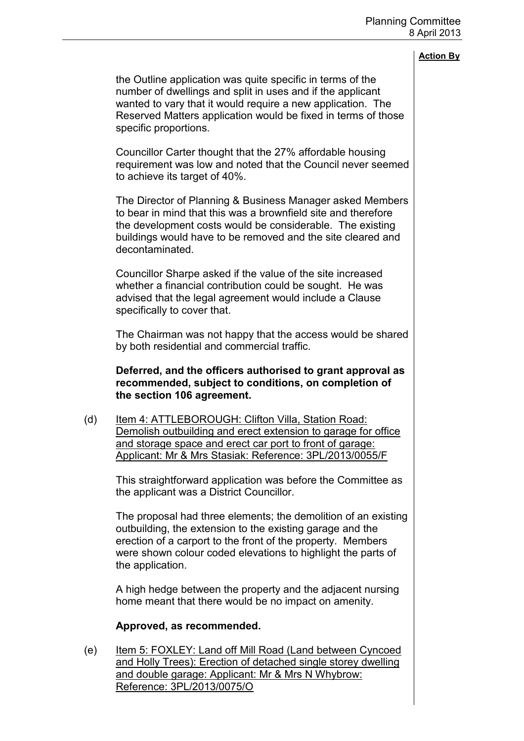the Outline application was quite specific in terms of the number of dwellings and split in uses and if the applicant wanted to vary that it would require a new application. The Reserved Matters application would be fixed in terms of those specific proportions.

Councillor Carter thought that the 27% affordable housing requirement was low and noted that the Council never seemed to achieve its target of 40%.

The Director of Planning & Business Manager asked Members to bear in mind that this was a brownfield site and therefore the development costs would be considerable. The existing buildings would have to be removed and the site cleared and decontaminated.

Councillor Sharpe asked if the value of the site increased whether a financial contribution could be sought. He was advised that the legal agreement would include a Clause specifically to cover that.

The Chairman was not happy that the access would be shared by both residential and commercial traffic.

## **Deferred, and the officers authorised to grant approval as recommended, subject to conditions, on completion of the section 106 agreement.**

(d) Item 4: ATTLEBOROUGH: Clifton Villa, Station Road: Demolish outbuilding and erect extension to garage for office and storage space and erect car port to front of garage: Applicant: Mr & Mrs Stasiak: Reference: 3PL/2013/0055/F

This straightforward application was before the Committee as the applicant was a District Councillor.

The proposal had three elements; the demolition of an existing outbuilding, the extension to the existing garage and the erection of a carport to the front of the property. Members were shown colour coded elevations to highlight the parts of the application.

A high hedge between the property and the adjacent nursing home meant that there would be no impact on amenity.

# **Approved, as recommended.**

(e) Item 5: FOXLEY: Land off Mill Road (Land between Cyncoed and Holly Trees): Erection of detached single storey dwelling and double garage: Applicant: Mr & Mrs N Whybrow: Reference: 3PL/2013/0075/O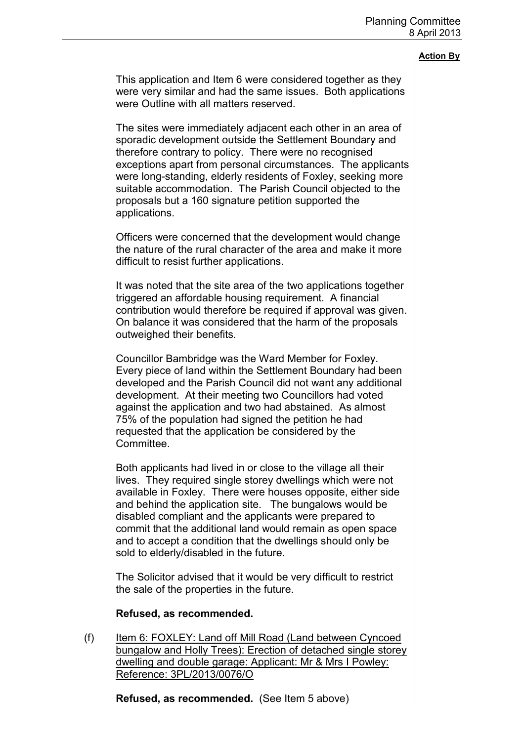This application and Item 6 were considered together as they were very similar and had the same issues. Both applications were Outline with all matters reserved.

The sites were immediately adjacent each other in an area of sporadic development outside the Settlement Boundary and therefore contrary to policy. There were no recognised exceptions apart from personal circumstances. The applicants were long-standing, elderly residents of Foxley, seeking more suitable accommodation. The Parish Council objected to the proposals but a 160 signature petition supported the applications.

Officers were concerned that the development would change the nature of the rural character of the area and make it more difficult to resist further applications.

It was noted that the site area of the two applications together triggered an affordable housing requirement. A financial contribution would therefore be required if approval was given. On balance it was considered that the harm of the proposals outweighed their benefits.

Councillor Bambridge was the Ward Member for Foxley. Every piece of land within the Settlement Boundary had been developed and the Parish Council did not want any additional development. At their meeting two Councillors had voted against the application and two had abstained. As almost 75% of the population had signed the petition he had requested that the application be considered by the Committee.

Both applicants had lived in or close to the village all their lives. They required single storey dwellings which were not available in Foxley. There were houses opposite, either side and behind the application site. The bungalows would be disabled compliant and the applicants were prepared to commit that the additional land would remain as open space and to accept a condition that the dwellings should only be sold to elderly/disabled in the future.

The Solicitor advised that it would be very difficult to restrict the sale of the properties in the future.

### **Refused, as recommended.**

(f) Item 6: FOXLEY: Land off Mill Road (Land between Cyncoed bungalow and Holly Trees): Erection of detached single storey dwelling and double garage: Applicant: Mr & Mrs I Powley: Reference: 3PL/2013/0076/O

**Refused, as recommended.** (See Item 5 above)